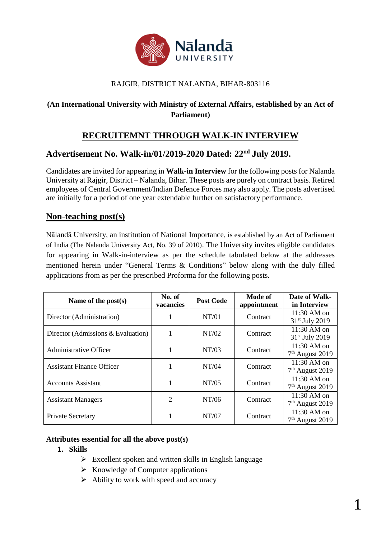

## RAJGIR, DISTRICT NALANDA, BIHAR-803116

# **(An International University with Ministry of External Affairs, established by an Act of Parliament)**

# **RECRUITEMNT THROUGH WALK-IN INTERVIEW**

# **Advertisement No. Walk-in/01/2019-2020 Dated: 22nd July 2019.**

Candidates are invited for appearing in **Walk-in Interview** for the following posts for Nalanda University at Rajgir, District – Nalanda, Bihar. These posts are purely on contract basis. Retired employees of Central Government/Indian Defence Forces may also apply. The posts advertised are initially for a period of one year extendable further on satisfactory performance.

# **Non-teaching post(s)**

Nālandā University, an institution of National Importance, is established by an Act of Parliament of India (The Nalanda University Act, No. 39 of 2010). The University invites eligible candidates for appearing in Walk-in-interview as per the schedule tabulated below at the addresses mentioned herein under "General Terms & Conditions" below along with the duly filled applications from as per the prescribed Proforma for the following posts.

| Name of the post $(s)$                | No. of<br>vacancies | <b>Post Code</b> | Mode of<br>appointment | Date of Walk-<br>in Interview               |
|---------------------------------------|---------------------|------------------|------------------------|---------------------------------------------|
| Director (Administration)             |                     | NT/01            | Contract               | 11:30 AM on<br>31 <sup>st</sup> July 2019   |
| Director (Admissions $& Evaluation$ ) |                     | NT/02            | Contract               | $11:30$ AM on<br>31 <sup>st</sup> July 2019 |
| Administrative Officer                |                     | NT/03            | Contract               | 11:30 AM on<br>7 <sup>th</sup> August 2019  |
| <b>Assistant Finance Officer</b>      |                     | NT/04            | Contract               | 11:30 AM on<br>7 <sup>th</sup> August 2019  |
| <b>Accounts Assistant</b>             |                     | NT/05            | Contract               | $11:30$ AM on<br>$7th$ August 2019          |
| <b>Assistant Managers</b>             | 2                   | NT/06            | Contract               | $11:30$ AM on<br>$7th$ August 2019          |
| Private Secretary                     |                     | NT/07            | Contract               | 11:30 AM on<br>$7th$ August 2019            |

#### **Attributes essential for all the above post(s)**

#### **1. Skills**

- $\triangleright$  Excellent spoken and written skills in English language
- $\triangleright$  Knowledge of Computer applications
- $\triangleright$  Ability to work with speed and accuracy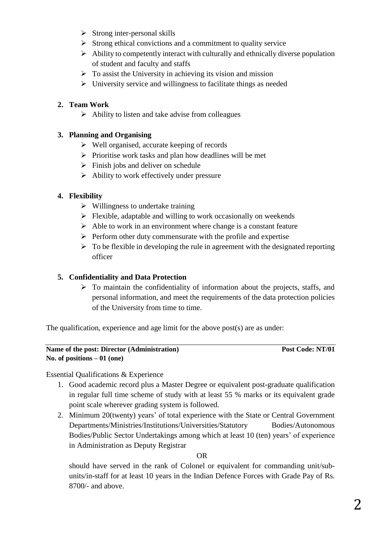- $\triangleright$  Strong inter-personal skills
- $\triangleright$  Strong ethical convictions and a commitment to quality service
- $\triangleright$  Ability to competently interact with culturally and ethnically diverse population of student and faculty and staffs
- $\triangleright$  To assist the University in achieving its vision and mission
- $\triangleright$  University service and willingness to facilitate things as needed

# **2. Team Work**

 $\triangleright$  Ability to listen and take advise from colleagues

## **3. Planning and Organising**

- $\triangleright$  Well organised, accurate keeping of records
- $\triangleright$  Prioritise work tasks and plan how deadlines will be met
- $\triangleright$  Finish jobs and deliver on schedule
- $\triangleright$  Ability to work effectively under pressure

## **4. Flexibility**

- $\triangleright$  Willingness to undertake training
- $\triangleright$  Flexible, adaptable and willing to work occasionally on weekends
- $\triangleright$  Able to work in an environment where change is a constant feature
- $\triangleright$  Perform other duty commensurate with the profile and expertise
- $\triangleright$  To be flexible in developing the rule in agreement with the designated reporting officer

# **5. Confidentiality and Data Protection**

 $\triangleright$  To maintain the confidentiality of information about the projects, staffs, and personal information, and meet the requirements of the data protection policies of the University from time to time.

The qualification, experience and age limit for the above post(s) are as under:

#### **Name of the post: Director (Administration)** Post Code: NT/01 **No. of positions – 01 (one)**

Essential Qualifications & Experience

- 1. Good academic record plus a Master Degree or equivalent post-graduate qualification in regular full time scheme of study with at least 55 % marks or its equivalent grade point scale wherever grading system is followed.
- 2. Minimum 20(twenty) years' of total experience with the State or Central Government Departments/Ministries/Institutions/Universities/Statutory Bodies/Autonomous Bodies/Public Sector Undertakings among which at least 10 (ten) years' of experience in Administration as Deputy Registrar

OR

should have served in the rank of Colonel or equivalent for commanding unit/subunits/in-staff for at least 10 years in the Indian Defence Forces with Grade Pay of Rs. 8700/- and above.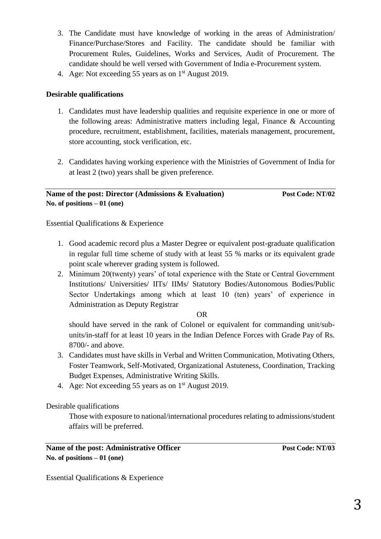- 3. The Candidate must have knowledge of working in the areas of Administration/ Finance/Purchase/Stores and Facility. The candidate should be familiar with Procurement Rules, Guidelines, Works and Services, Audit of Procurement. The candidate should be well versed with Government of India e-Procurement system.
- 4. Age: Not exceeding 55 years as on  $1<sup>st</sup>$  August 2019.

## **Desirable qualifications**

- 1. Candidates must have leadership qualities and requisite experience in one or more of the following areas: Administrative matters including legal, Finance & Accounting procedure, recruitment, establishment, facilities, materials management, procurement, store accounting, stock verification, etc.
- 2. Candidates having working experience with the Ministries of Government of India for at least 2 (two) years shall be given preference.

#### **Name of the post: Director (Admissions & Evaluation)** Post Code: NT/02 **No. of positions – 01 (one)**

Essential Qualifications & Experience

- 1. Good academic record plus a Master Degree or equivalent post-graduate qualification in regular full time scheme of study with at least 55 % marks or its equivalent grade point scale wherever grading system is followed.
- 2. Minimum 20(twenty) years' of total experience with the State or Central Government Institutions/ Universities/ IITs/ IIMs/ Statutory Bodies/Autonomous Bodies/Public Sector Undertakings among which at least 10 (ten) years' of experience in Administration as Deputy Registrar

#### OR

should have served in the rank of Colonel or equivalent for commanding unit/subunits/in-staff for at least 10 years in the Indian Defence Forces with Grade Pay of Rs. 8700/- and above.

- 3. Candidates must have skills in Verbal and Written Communication, Motivating Others, Foster Teamwork, Self-Motivated, Organizational Astuteness, Coordination, Tracking Budget Expenses, Administrative Writing Skills.
- 4. Age: Not exceeding 55 years as on 1<sup>st</sup> August 2019.

Desirable qualifications

Those with exposure to national/international procedures relating to admissions/student affairs will be preferred.

Essential Qualifications & Experience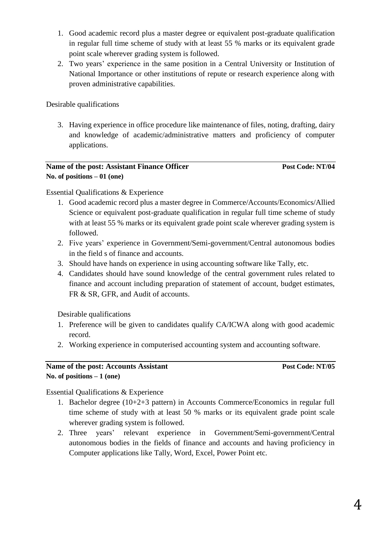- 1. Good academic record plus a master degree or equivalent post-graduate qualification in regular full time scheme of study with at least 55 % marks or its equivalent grade point scale wherever grading system is followed.
- 2. Two years' experience in the same position in a Central University or Institution of National Importance or other institutions of repute or research experience along with proven administrative capabilities.

Desirable qualifications

3. Having experience in office procedure like maintenance of files, noting, drafting, dairy and knowledge of academic/administrative matters and proficiency of computer applications.

## **Name of the post: Assistant Finance Officer** *Post Code: NT/04* **No. of positions – 01 (one)**

Essential Qualifications & Experience

- 1. Good academic record plus a master degree in Commerce/Accounts/Economics/Allied Science or equivalent post-graduate qualification in regular full time scheme of study with at least 55 % marks or its equivalent grade point scale wherever grading system is followed.
- 2. Five years' experience in Government/Semi-government/Central autonomous bodies in the field s of finance and accounts.
- 3. Should have hands on experience in using accounting software like Tally, etc.
- 4. Candidates should have sound knowledge of the central government rules related to finance and account including preparation of statement of account, budget estimates, FR & SR, GFR, and Audit of accounts.

Desirable qualifications

- 1. Preference will be given to candidates qualify CA/ICWA along with good academic record.
- 2. Working experience in computerised accounting system and accounting software.

#### **Name of the post: Accounts Assistant Post Code: NT/05 No. of positions – 1 (one)**

Essential Qualifications & Experience

- 1. Bachelor degree (10+2+3 pattern) in Accounts Commerce/Economics in regular full time scheme of study with at least 50 % marks or its equivalent grade point scale wherever grading system is followed.
- 2. Three years' relevant experience in Government/Semi-government/Central autonomous bodies in the fields of finance and accounts and having proficiency in Computer applications like Tally, Word, Excel, Power Point etc.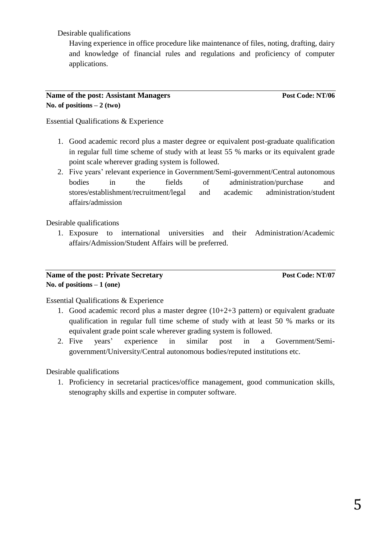Desirable qualifications

Having experience in office procedure like maintenance of files, noting, drafting, dairy and knowledge of financial rules and regulations and proficiency of computer applications.

#### **Name of the post: Assistant Managers Post Code: NT/06** No. of positions  $-2$  (two)

Essential Qualifications & Experience

- 1. Good academic record plus a master degree or equivalent post-graduate qualification in regular full time scheme of study with at least 55 % marks or its equivalent grade point scale wherever grading system is followed.
- 2. Five years' relevant experience in Government/Semi-government/Central autonomous bodies in the fields of administration/purchase and stores/establishment/recruitment/legal and academic administration/student affairs/admission

Desirable qualifications

1. Exposure to international universities and their Administration/Academic affairs/Admission/Student Affairs will be preferred.

#### **Name of the post: Private Secretary Post Code: NT/07 No. of positions – 1 (one)**

Essential Qualifications & Experience

- 1. Good academic record plus a master degree (10+2+3 pattern) or equivalent graduate qualification in regular full time scheme of study with at least 50 % marks or its equivalent grade point scale wherever grading system is followed.
- 2. Five years' experience in similar post in a Government/Semigovernment/University/Central autonomous bodies/reputed institutions etc.

Desirable qualifications

1. Proficiency in secretarial practices/office management, good communication skills, stenography skills and expertise in computer software.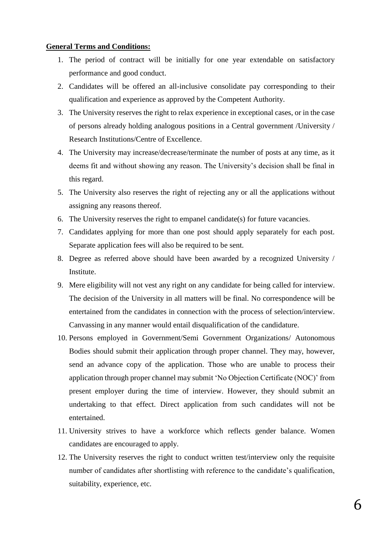#### **General Terms and Conditions:**

- 1. The period of contract will be initially for one year extendable on satisfactory performance and good conduct.
- 2. Candidates will be offered an all-inclusive consolidate pay corresponding to their qualification and experience as approved by the Competent Authority.
- 3. The University reserves the right to relax experience in exceptional cases, or in the case of persons already holding analogous positions in a Central government /University / Research Institutions/Centre of Excellence.
- 4. The University may increase/decrease/terminate the number of posts at any time, as it deems fit and without showing any reason. The University's decision shall be final in this regard.
- 5. The University also reserves the right of rejecting any or all the applications without assigning any reasons thereof.
- 6. The University reserves the right to empanel candidate(s) for future vacancies.
- 7. Candidates applying for more than one post should apply separately for each post. Separate application fees will also be required to be sent.
- 8. Degree as referred above should have been awarded by a recognized University / Institute.
- 9. Mere eligibility will not vest any right on any candidate for being called for interview. The decision of the University in all matters will be final. No correspondence will be entertained from the candidates in connection with the process of selection/interview. Canvassing in any manner would entail disqualification of the candidature.
- 10. Persons employed in Government/Semi Government Organizations/ Autonomous Bodies should submit their application through proper channel. They may, however, send an advance copy of the application. Those who are unable to process their application through proper channel may submit 'No Objection Certificate (NOC)' from present employer during the time of interview. However, they should submit an undertaking to that effect. Direct application from such candidates will not be entertained.
- 11. University strives to have a workforce which reflects gender balance. Women candidates are encouraged to apply.
- 12. The University reserves the right to conduct written test/interview only the requisite number of candidates after shortlisting with reference to the candidate's qualification, suitability, experience, etc.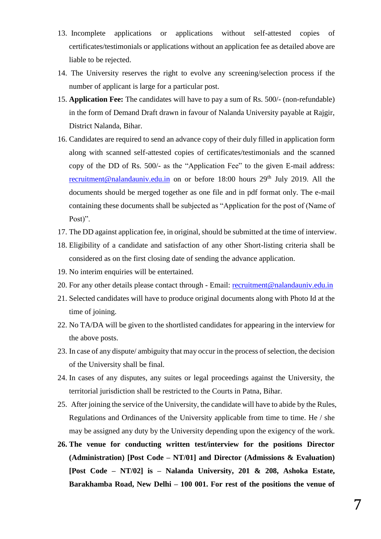- 13. Incomplete applications or applications without self-attested copies of certificates/testimonials or applications without an application fee as detailed above are liable to be rejected.
- 14. The University reserves the right to evolve any screening/selection process if the number of applicant is large for a particular post.
- 15. **Application Fee:** The candidates will have to pay a sum of Rs. 500/- (non-refundable) in the form of Demand Draft drawn in favour of Nalanda University payable at Rajgir, District Nalanda, Bihar.
- 16. Candidates are required to send an advance copy of their duly filled in application form along with scanned self-attested copies of certificates/testimonials and the scanned copy of the DD of Rs. 500/- as the "Application Fee" to the given E-mail address: [recruitment@nalandauniv.edu.in](mailto:recruitment@nalandauniv.edu.in) on or before  $18:00$  hours  $29<sup>th</sup>$  July 2019. All the documents should be merged together as one file and in pdf format only. The e-mail containing these documents shall be subjected as "Application for the post of (Name of Post)".
- 17. The DD against application fee, in original, should be submitted at the time of interview.
- 18. Eligibility of a candidate and satisfaction of any other Short-listing criteria shall be considered as on the first closing date of sending the advance application.
- 19. No interim enquiries will be entertained.
- 20. For any other details please contact through Email: [recruitment@nalandauniv.edu.in](mailto:recruitment@nalandauniv.edu.in)
- 21. Selected candidates will have to produce original documents along with Photo Id at the time of joining.
- 22. No TA/DA will be given to the shortlisted candidates for appearing in the interview for the above posts.
- 23. In case of any dispute/ ambiguity that may occur in the process of selection, the decision of the University shall be final.
- 24. In cases of any disputes, any suites or legal proceedings against the University, the territorial jurisdiction shall be restricted to the Courts in Patna, Bihar.
- 25. After joining the service of the University, the candidate will have to abide by the Rules, Regulations and Ordinances of the University applicable from time to time. He / she may be assigned any duty by the University depending upon the exigency of the work.
- **26. The venue for conducting written test/interview for the positions Director (Administration) [Post Code – NT/01] and Director (Admissions & Evaluation) [Post Code – NT/02] is – Nalanda University, 201 & 208, Ashoka Estate, Barakhamba Road, New Delhi – 100 001. For rest of the positions the venue of**